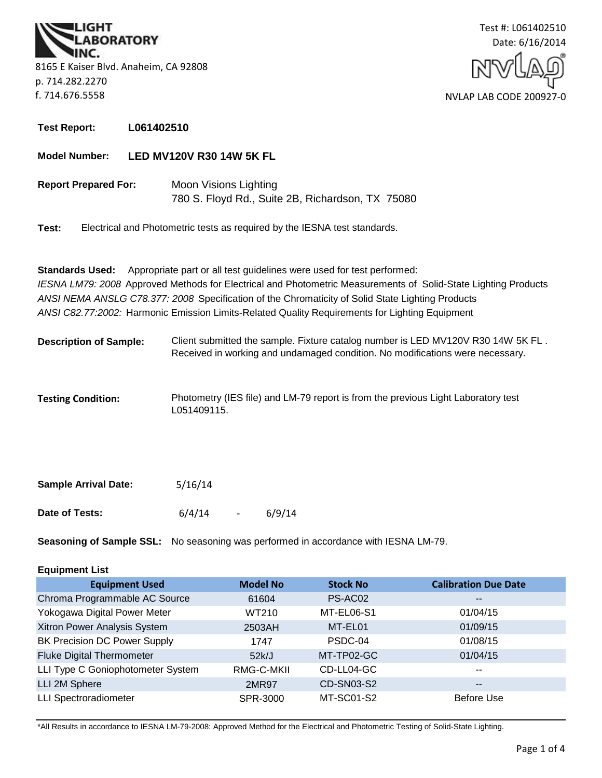**BORATORY** 8165 E Kaiser Blvd. Anaheim, CA 92808 p. 714.282.2270 f. 714.676.5558



**Test Report: L061402510**

#### **Model Number: LED MV120V R30 14W 5K FL**

**Report Prepared For:** Moon Visions Lighting 780 S. Floyd Rd., Suite 2B, Richardson, TX 75080

**Test:** Electrical and Photometric tests as required by the IESNA test standards.

**Standards Used:** Appropriate part or all test guidelines were used for test performed: *IESNA LM79: 2008* Approved Methods for Electrical and Photometric Measurements of Solid-State Lighting Products *ANSI NEMA ANSLG C78.377: 2008* Specification of the Chromaticity of Solid State Lighting Products *ANSI C82.77:2002:* Harmonic Emission Limits-Related Quality Requirements for Lighting Equipment

- **Description of Sample:** Client submitted the sample. Fixture catalog number is LED MV120V R30 14W 5K FL . Received in working and undamaged condition. No modifications were necessary.
- **Testing Condition:** Photometry (IES file) and LM-79 report is from the previous Light Laboratory test L051409115.

| <b>Sample Arrival Date:</b> | 5/16/14 |                |        |
|-----------------------------|---------|----------------|--------|
| Date of Tests:              | 6/4/14  | $\overline{a}$ | 6/9/14 |

**Seasoning of Sample SSL:** No seasoning was performed in accordance with IESNA LM-79.

# **Equipment List**

| <b>Equipment Used</b>               | <b>Model No</b> | <b>Stock No</b> | <b>Calibration Due Date</b> |
|-------------------------------------|-----------------|-----------------|-----------------------------|
| Chroma Programmable AC Source       | 61604           | PS-AC02         | $\overline{\phantom{m}}$    |
| Yokogawa Digital Power Meter        | WT210           | MT-EL06-S1      | 01/04/15                    |
| Xitron Power Analysis System        | 2503AH          | MT-EL01         | 01/09/15                    |
| <b>BK Precision DC Power Supply</b> | 1747            | PSDC-04         | 01/08/15                    |
| <b>Fluke Digital Thermometer</b>    | 52k/J           | MT-TP02-GC      | 01/04/15                    |
| LLI Type C Goniophotometer System   | RMG-C-MKII      | CD-LL04-GC      | $- -$                       |
| LLI 2M Sphere                       | 2MR97           | CD-SN03-S2      | $\overline{\phantom{m}}$    |
| <b>LLI Spectroradiometer</b>        | SPR-3000        | MT-SC01-S2      | Before Use                  |

\*All Results in accordance to IESNA LM-79-2008: Approved Method for the Electrical and Photometric Testing of Solid-State Lighting.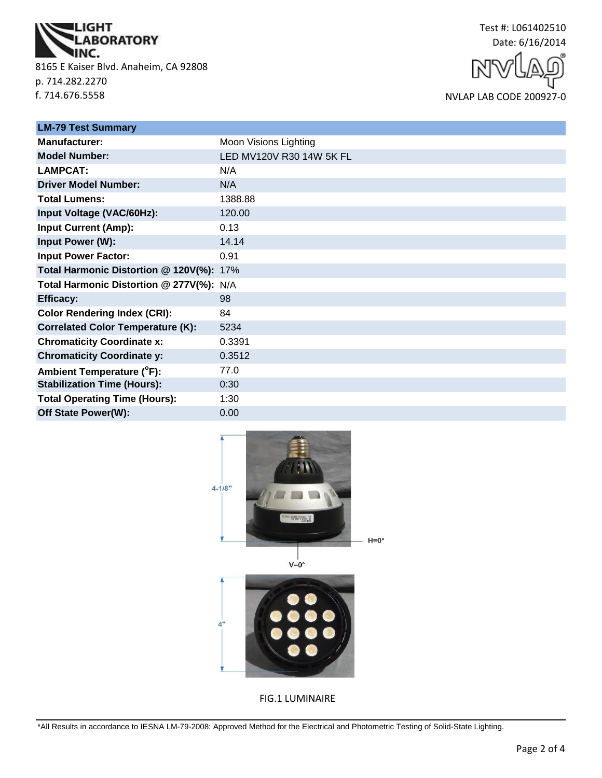

8165 E Kaiser Blvd. Anaheim, CA 92808 p. 714.282.2270 f. 714.676.5558



NVLAP LAB CODE 200927-0

| <b>LM-79 Test Summary</b>                |                          |  |
|------------------------------------------|--------------------------|--|
| <b>Manufacturer:</b>                     | Moon Visions Lighting    |  |
| <b>Model Number:</b>                     | LED MV120V R30 14W 5K FL |  |
| <b>LAMPCAT:</b>                          | N/A                      |  |
| <b>Driver Model Number:</b>              | N/A                      |  |
| <b>Total Lumens:</b>                     | 1388.88                  |  |
| Input Voltage (VAC/60Hz):                | 120.00                   |  |
| <b>Input Current (Amp):</b>              | 0.13                     |  |
| Input Power (W):                         | 14.14                    |  |
| <b>Input Power Factor:</b>               | 0.91                     |  |
| Total Harmonic Distortion @ 120V(%): 17% |                          |  |
| Total Harmonic Distortion @ 277V(%): N/A |                          |  |
| <b>Efficacy:</b>                         | 98                       |  |
| <b>Color Rendering Index (CRI):</b>      | 84                       |  |
| <b>Correlated Color Temperature (K):</b> | 5234                     |  |
| <b>Chromaticity Coordinate x:</b>        | 0.3391                   |  |
| <b>Chromaticity Coordinate y:</b>        | 0.3512                   |  |
| Ambient Temperature (°F):                | 77.0                     |  |
| <b>Stabilization Time (Hours):</b>       | 0:30                     |  |
| <b>Total Operating Time (Hours):</b>     | 1:30                     |  |
| Off State Power(W):                      | 0.00                     |  |



FIG.1 LUMINAIRE

\*All Results in accordance to IESNA LM-79-2008: Approved Method for the Electrical and Photometric Testing of Solid-State Lighting.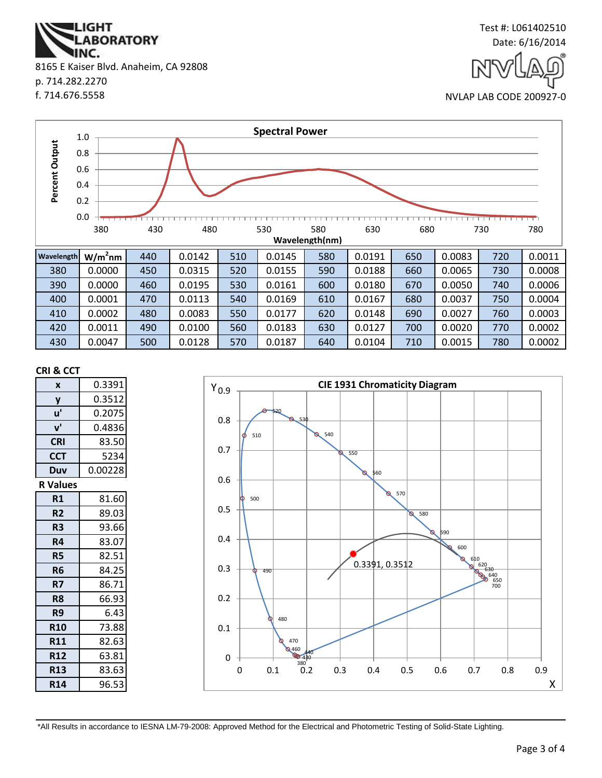**ABORATORY** IINC. 8165 E Kaiser Blvd. Anaheim, CA 92808 p. 714.282.2270 f. 714.676.5558

**IGHT** 





#### **CRI & CCT**

| X               | 0.3391  |  |
|-----------------|---------|--|
| y               | 0.3512  |  |
| u'              | 0.2075  |  |
| ${\bf v}'$      | 0.4836  |  |
| <b>CRI</b>      | 83.50   |  |
| <b>CCT</b>      | 5234    |  |
| Duv             | 0.00228 |  |
| <b>R</b> Values |         |  |
| R1              | 81.60   |  |
| R <sub>2</sub>  | 89.03   |  |
| R3              | 93.66   |  |
| R4              | 83.07   |  |
| <b>R5</b>       | 82.51   |  |
| R <sub>6</sub>  | 84.25   |  |
| R7              | 86.71   |  |
| R8              | 66.93   |  |
| R9              | 6.43    |  |
| <b>R10</b>      | 73.88   |  |
| <b>R11</b>      | 82.63   |  |
| <b>R12</b>      | 63.81   |  |
| <b>R13</b>      | 83.63   |  |
| <b>R14</b>      | 96.53   |  |



\*All Results in accordance to IESNA LM-79-2008: Approved Method for the Electrical and Photometric Testing of Solid-State Lighting.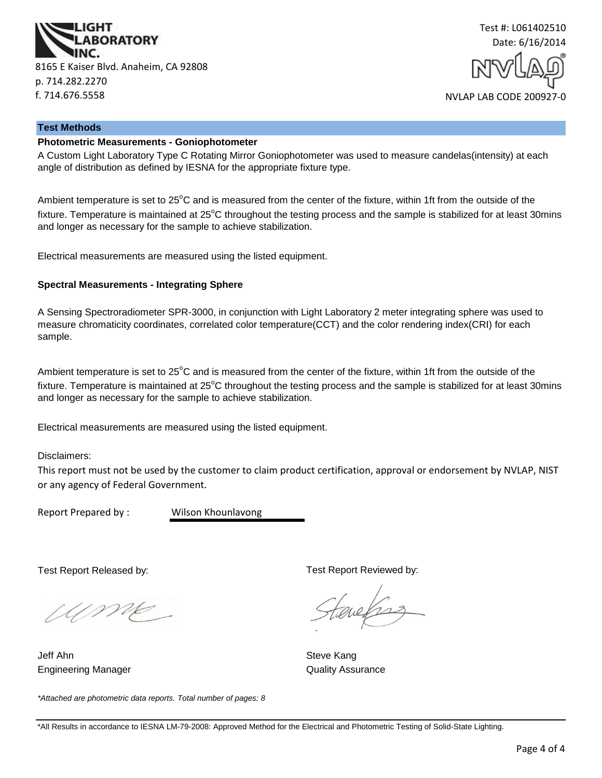



#### **Test Methods**

# **Photometric Measurements - Goniophotometer**

A Custom Light Laboratory Type C Rotating Mirror Goniophotometer was used to measure candelas(intensity) at each angle of distribution as defined by IESNA for the appropriate fixture type.

Ambient temperature is set to  $25^{\circ}$ C and is measured from the center of the fixture, within 1ft from the outside of the fixture. Temperature is maintained at  $25^{\circ}$ C throughout the testing process and the sample is stabilized for at least 30mins and longer as necessary for the sample to achieve stabilization.

Electrical measurements are measured using the listed equipment.

#### **Spectral Measurements - Integrating Sphere**

A Sensing Spectroradiometer SPR-3000, in conjunction with Light Laboratory 2 meter integrating sphere was used to measure chromaticity coordinates, correlated color temperature(CCT) and the color rendering index(CRI) for each sample.

Ambient temperature is set to  $25^{\circ}$ C and is measured from the center of the fixture, within 1ft from the outside of the fixture. Temperature is maintained at  $25^{\circ}$ C throughout the testing process and the sample is stabilized for at least 30mins and longer as necessary for the sample to achieve stabilization.

Electrical measurements are measured using the listed equipment.

Disclaimers:

This report must not be used by the customer to claim product certification, approval or endorsement by NVLAP, NIST or any agency of Federal Government.

Report Prepared by : Wilson Khounlavong

Test Report Released by:

UME

Engineering Manager **Contract Contract Contract Contract Contract Contract Contract Contract Contract Contract Contract Contract Contract Contract Contract Contract Contract Contract Contract Contract Contract Contract Con** Jeff Ahn Steve Kang

*\*Attached are photometric data reports. Total number of pages: 8*

Test Report Reviewed by:

evels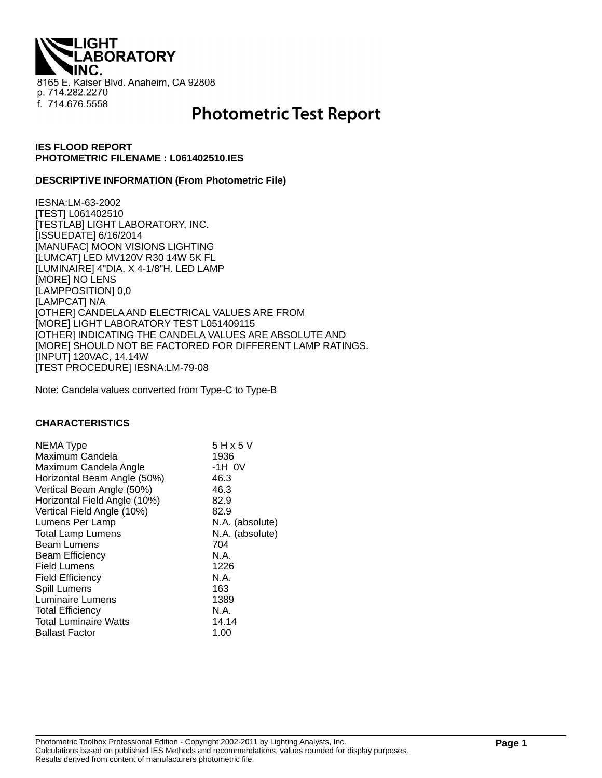**THQI. ABORATORY** 8165 E. Kaiser Blvd. Anaheim, CA 92808 p. 714.282.2270 f. 714.676.5558

# **Photometric Test Report**

# **IES FLOOD REPORT PHOTOMETRIC FILENAME : L061402510.IES**

#### **DESCRIPTIVE INFORMATION (From Photometric File)**

IESNA:LM-63-2002 [TEST] L061402510 [TESTLAB] LIGHT LABORATORY, INC. [ISSUEDATE] 6/16/2014 [MANUFAC] MOON VISIONS LIGHTING [LUMCAT] LED MV120V R30 14W 5K FL [LUMINAIRE] 4"DIA. X 4-1/8"H. LED LAMP [MORE] NO LENS [LAMPPOSITION] 0,0 [LAMPCAT] N/A [OTHER] CANDELA AND ELECTRICAL VALUES ARE FROM [MORE] LIGHT LABORATORY TEST L051409115 [OTHER] INDICATING THE CANDELA VALUES ARE ABSOLUTE AND [MORE] SHOULD NOT BE FACTORED FOR DIFFERENT LAMP RATINGS. [INPUT] 120VAC, 14.14W [TEST PROCEDURE] IESNA:LM-79-08

Note: Candela values converted from Type-C to Type-B

#### **CHARACTERISTICS**

| NEMA Type                    | 5 H x 5 V       |
|------------------------------|-----------------|
| Maximum Candela              | 1936            |
| Maximum Candela Angle        | $-1H$ OV        |
| Horizontal Beam Angle (50%)  | 46.3            |
| Vertical Beam Angle (50%)    | 46.3            |
| Horizontal Field Angle (10%) | 82.9            |
| Vertical Field Angle (10%)   | 82.9            |
| Lumens Per Lamp              | N.A. (absolute) |
| <b>Total Lamp Lumens</b>     | N.A. (absolute) |
| <b>Beam Lumens</b>           | 704             |
| <b>Beam Efficiency</b>       | N.A.            |
| <b>Field Lumens</b>          | 1226            |
| <b>Field Efficiency</b>      | N.A.            |
| Spill Lumens                 | 163             |
| <b>Luminaire Lumens</b>      | 1389            |
| <b>Total Efficiency</b>      | N.A.            |
| <b>Total Luminaire Watts</b> | 14.14           |
| <b>Ballast Factor</b>        | 1.00            |
|                              |                 |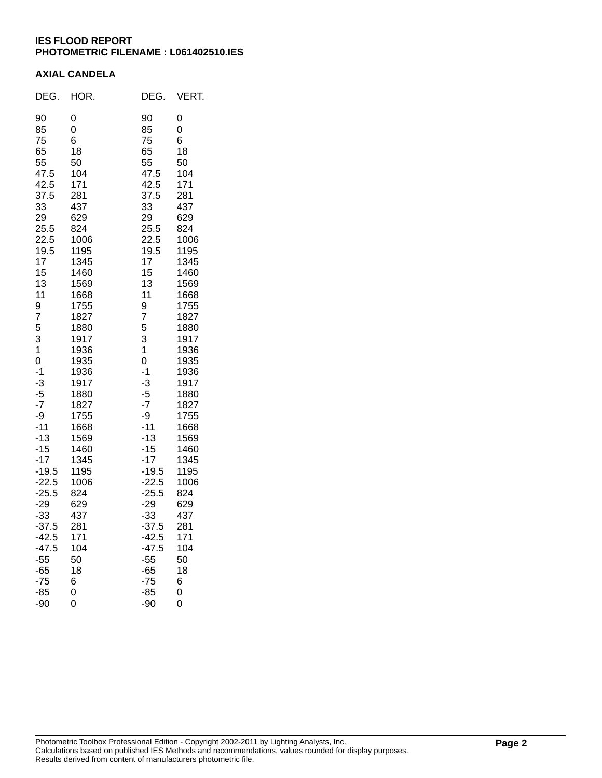# **IES FLOOD REPORT PHOTOMETRIC FILENAME : L061402510.IES**

### **AXIAL CANDELA**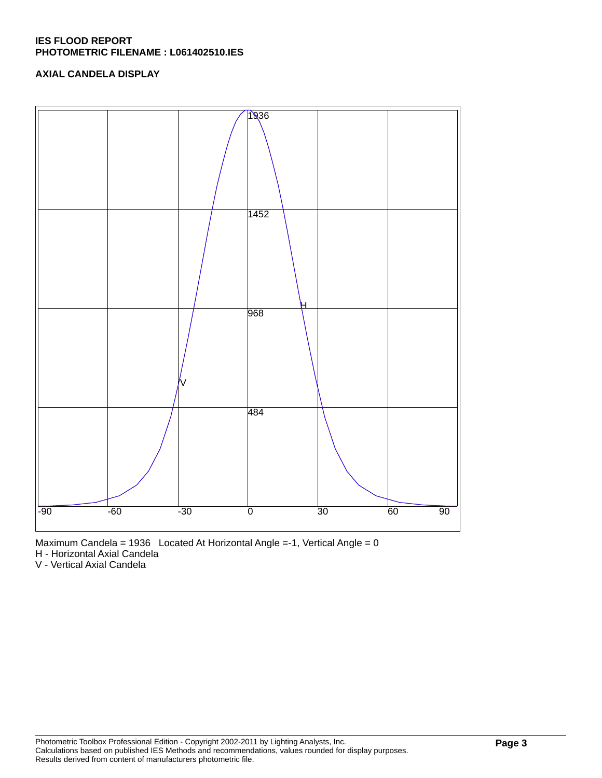# **IES FLOOD REPORT PHOTOMETRIC FILENAME : L061402510.IES**

# **AXIAL CANDELA DISPLAY**





H - Horizontal Axial Candela

V - Vertical Axial Candela